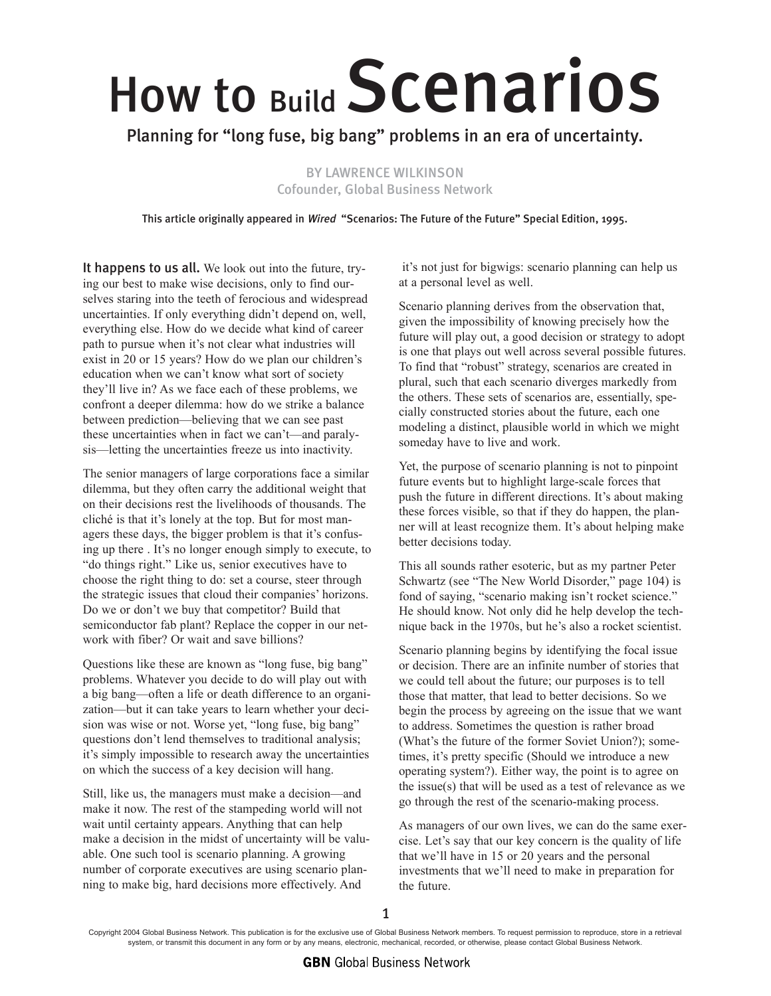# How to Build Scenarios

Planning for "long fuse, big bang" problems in an era of uncertainty.

BY LAWRENCE WILKINSON Cofounder, Global Business Network

This article originally appeared in Wired "Scenarios: The Future of the Future" Special Edition, 1995.

It happens to us all. We look out into the future, trying our best to make wise decisions, only to find ourselves staring into the teeth of ferocious and widespread uncertainties. If only everything didn't depend on, well, everything else. How do we decide what kind of career path to pursue when it's not clear what industries will exist in 20 or 15 years? How do we plan our children's education when we can't know what sort of society they'll live in? As we face each of these problems, we confront a deeper dilemma: how do we strike a balance between prediction—believing that we can see past these uncertainties when in fact we can't—and paralysis—letting the uncertainties freeze us into inactivity.

The senior managers of large corporations face a similar dilemma, but they often carry the additional weight that on their decisions rest the livelihoods of thousands. The cliché is that it's lonely at the top. But for most managers these days, the bigger problem is that it's confusing up there . It's no longer enough simply to execute, to "do things right." Like us, senior executives have to choose the right thing to do: set a course, steer through the strategic issues that cloud their companies' horizons. Do we or don't we buy that competitor? Build that semiconductor fab plant? Replace the copper in our network with fiber? Or wait and save billions?

Questions like these are known as "long fuse, big bang" problems. Whatever you decide to do will play out with a big bang—often a life or death difference to an organization—but it can take years to learn whether your decision was wise or not. Worse yet, "long fuse, big bang" questions don't lend themselves to traditional analysis; it's simply impossible to research away the uncertainties on which the success of a key decision will hang.

Still, like us, the managers must make a decision—and make it now. The rest of the stampeding world will not wait until certainty appears. Anything that can help make a decision in the midst of uncertainty will be valuable. One such tool is scenario planning. A growing number of corporate executives are using scenario planning to make big, hard decisions more effectively. And

it's not just for bigwigs: scenario planning can help us at a personal level as well.

Scenario planning derives from the observation that, given the impossibility of knowing precisely how the future will play out, a good decision or strategy to adopt is one that plays out well across several possible futures. To find that "robust" strategy, scenarios are created in plural, such that each scenario diverges markedly from the others. These sets of scenarios are, essentially, specially constructed stories about the future, each one modeling a distinct, plausible world in which we might someday have to live and work.

Yet, the purpose of scenario planning is not to pinpoint future events but to highlight large-scale forces that push the future in different directions. It's about making these forces visible, so that if they do happen, the planner will at least recognize them. It's about helping make better decisions today.

This all sounds rather esoteric, but as my partner Peter Schwartz (see "The New World Disorder," page 104) is fond of saying, "scenario making isn't rocket science." He should know. Not only did he help develop the technique back in the 1970s, but he's also a rocket scientist.

Scenario planning begins by identifying the focal issue or decision. There are an infinite number of stories that we could tell about the future; our purposes is to tell those that matter, that lead to better decisions. So we begin the process by agreeing on the issue that we want to address. Sometimes the question is rather broad (What's the future of the former Soviet Union?); sometimes, it's pretty specific (Should we introduce a new operating system?). Either way, the point is to agree on the issue(s) that will be used as a test of relevance as we go through the rest of the scenario-making process.

As managers of our own lives, we can do the same exercise. Let's say that our key concern is the quality of life that we'll have in 15 or 20 years and the personal investments that we'll need to make in preparation for the future.

<sup>1</sup>

Copyright 2004 Global Business Network. This publication is for the exclusive use of Global Business Network members. To request permission to reproduce, store in a retrieval system, or transmit this document in any form or by any means, electronic, mechanical, recorded, or otherwise, please contact Global Business Network.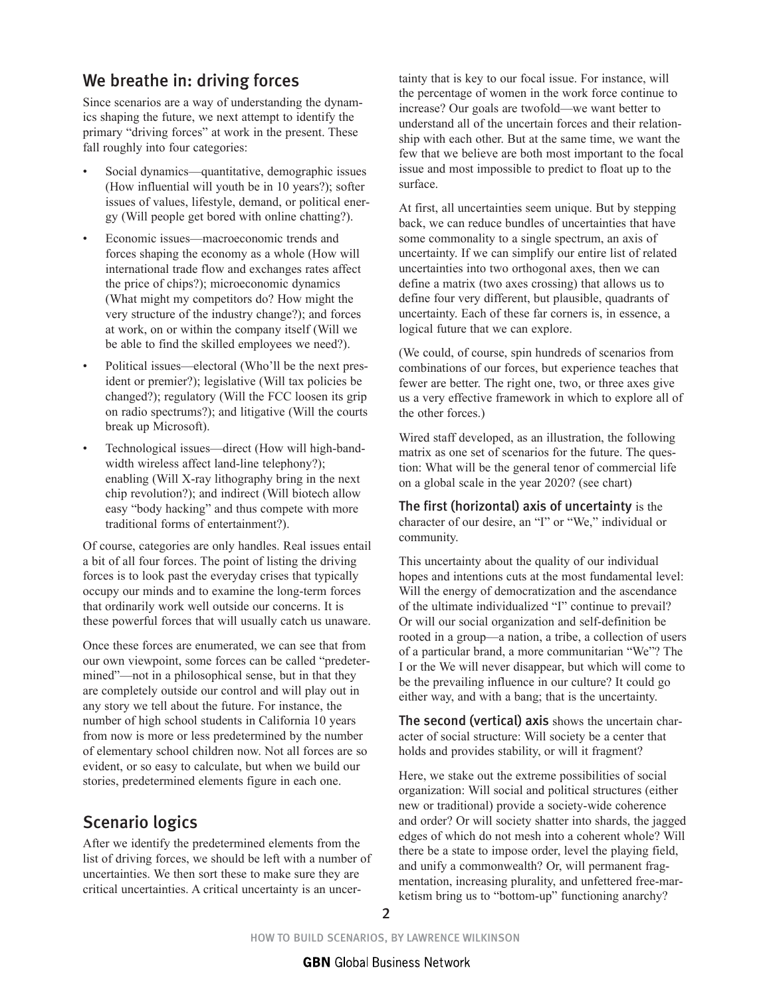## We breathe in: driving forces

Since scenarios are a way of understanding the dynamics shaping the future, we next attempt to identify the primary "driving forces" at work in the present. These fall roughly into four categories:

- Social dynamics—quantitative, demographic issues (How influential will youth be in 10 years?); softer issues of values, lifestyle, demand, or political energy (Will people get bored with online chatting?).
- Economic issues—macroeconomic trends and forces shaping the economy as a whole (How will international trade flow and exchanges rates affect the price of chips?); microeconomic dynamics (What might my competitors do? How might the very structure of the industry change?); and forces at work, on or within the company itself (Will we be able to find the skilled employees we need?).
- Political issues—electoral (Who'll be the next president or premier?); legislative (Will tax policies be changed?); regulatory (Will the FCC loosen its grip on radio spectrums?); and litigative (Will the courts break up Microsoft).
- Technological issues—direct (How will high-bandwidth wireless affect land-line telephony?); enabling (Will X-ray lithography bring in the next chip revolution?); and indirect (Will biotech allow easy "body hacking" and thus compete with more traditional forms of entertainment?).

Of course, categories are only handles. Real issues entail a bit of all four forces. The point of listing the driving forces is to look past the everyday crises that typically occupy our minds and to examine the long-term forces that ordinarily work well outside our concerns. It is these powerful forces that will usually catch us unaware.

Once these forces are enumerated, we can see that from our own viewpoint, some forces can be called "predetermined"—not in a philosophical sense, but in that they are completely outside our control and will play out in any story we tell about the future. For instance, the number of high school students in California 10 years from now is more or less predetermined by the number of elementary school children now. Not all forces are so evident, or so easy to calculate, but when we build our stories, predetermined elements figure in each one.

## Scenario logics

After we identify the predetermined elements from the list of driving forces, we should be left with a number of uncertainties. We then sort these to make sure they are critical uncertainties. A critical uncertainty is an uncertainty that is key to our focal issue. For instance, will the percentage of women in the work force continue to increase? Our goals are twofold—we want better to understand all of the uncertain forces and their relationship with each other. But at the same time, we want the few that we believe are both most important to the focal issue and most impossible to predict to float up to the surface.

At first, all uncertainties seem unique. But by stepping back, we can reduce bundles of uncertainties that have some commonality to a single spectrum, an axis of uncertainty. If we can simplify our entire list of related uncertainties into two orthogonal axes, then we can define a matrix (two axes crossing) that allows us to define four very different, but plausible, quadrants of uncertainty. Each of these far corners is, in essence, a logical future that we can explore.

(We could, of course, spin hundreds of scenarios from combinations of our forces, but experience teaches that fewer are better. The right one, two, or three axes give us a very effective framework in which to explore all of the other forces.)

Wired staff developed, as an illustration, the following matrix as one set of scenarios for the future. The question: What will be the general tenor of commercial life on a global scale in the year 2020? (see chart)

The first (horizontal) axis of uncertainty is the character of our desire, an "I" or "We," individual or community.

This uncertainty about the quality of our individual hopes and intentions cuts at the most fundamental level: Will the energy of democratization and the ascendance of the ultimate individualized "I" continue to prevail? Or will our social organization and self-definition be rooted in a group—a nation, a tribe, a collection of users of a particular brand, a more communitarian "We"? The I or the We will never disappear, but which will come to be the prevailing influence in our culture? It could go either way, and with a bang; that is the uncertainty.

The second (vertical) axis shows the uncertain character of social structure: Will society be a center that holds and provides stability, or will it fragment?

Here, we stake out the extreme possibilities of social organization: Will social and political structures (either new or traditional) provide a society-wide coherence and order? Or will society shatter into shards, the jagged edges of which do not mesh into a coherent whole? Will there be a state to impose order, level the playing field, and unify a commonwealth? Or, will permanent fragmentation, increasing plurality, and unfettered free-marketism bring us to "bottom-up" functioning anarchy?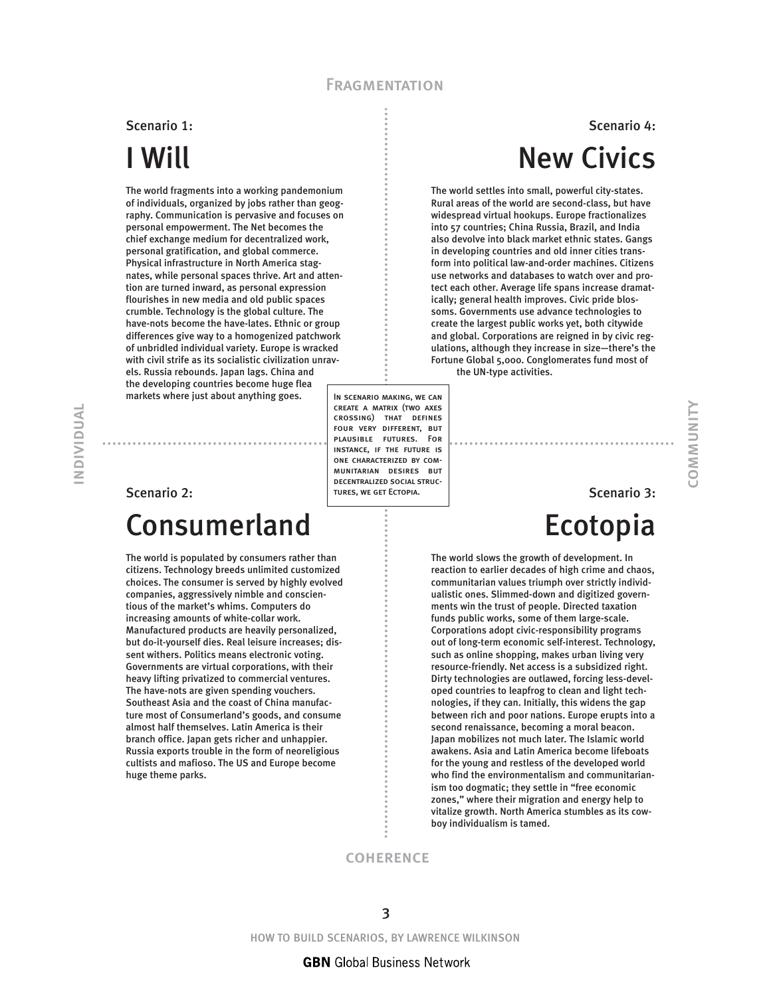Scenario 1:

# I Will

The world fragments into a working pandemonium of individuals, organized by jobs rather than geography. Communication is pervasive and focuses on personal empowerment. The Net becomes the chief exchange medium for decentralized work, personal gratification, and global commerce. Physical infrastructure in North America stagnates, while personal spaces thrive. Art and attention are turned inward, as personal expression flourishes in new media and old public spaces crumble. Technology is the global culture. The have-nots become the have-lates. Ethnic or group differences give way to a homogenized patchwork of unbridled individual variety. Europe is wracked with civil strife as its socialistic civilization unravels. Russia rebounds. Japan lags. China and the developing countries become huge flea markets where just about anything goes.

#### Scenario 2:

## Consumerland

The world is populated by consumers rather than citizens. Technology breeds unlimited customized choices. The consumer is served by highly evolved companies, aggressively nimble and conscientious of the market's whims. Computers do increasing amounts of white-collar work. Manufactured products are heavily personalized, but do-it-yourself dies. Real leisure increases; dissent withers. Politics means electronic voting. Governments are virtual corporations, with their heavy lifting privatized to commercial ventures. The have-nots are given spending vouchers. Southeast Asia and the coast of China manufacture most of Consumerland's goods, and consume almost half themselves. Latin America is their branch office. Japan gets richer and unhappier. Russia exports trouble in the form of neoreligious cultists and mafioso. The US and Europe become huge theme parks.

Scenario 4:

# New Civics

The world settles into small, powerful city-states. Rural areas of the world are second-class, but have widespread virtual hookups. Europe fractionalizes into 57 countries; China Russia, Brazil, and India also devolve into black market ethnic states. Gangs in developing countries and old inner cities transform into political law-and-order machines. Citizens use networks and databases to watch over and protect each other. Average life spans increase dramatically; general health improves. Civic pride blossoms. Governments use advance technologies to create the largest public works yet, both citywide and global. Corporations are reigned in by civic regulations, although they increase in size—there's the Fortune Global 5,000. Conglomerates fund most of the UN-type activities.

In scenario making, we can create a matrix (two axes crossing) that defines four very different, but plausible futures. For instance, if the future is one characterized by communitarian desires but decentralized social structures, we get Ectopia.

#### Scenario 3:

community

COMMUNIT

# Ecotopia

The world slows the growth of development. In reaction to earlier decades of high crime and chaos, communitarian values triumph over strictly individualistic ones. Slimmed-down and digitized governments win the trust of people. Directed taxation funds public works, some of them large-scale. Corporations adopt civic-responsibility programs out of long-term economic self-interest. Technology, such as online shopping, makes urban living very resource-friendly. Net access is a subsidized right. Dirty technologies are outlawed, forcing less-developed countries to leapfrog to clean and light technologies, if they can. Initially, this widens the gap between rich and poor nations. Europe erupts into a second renaissance, becoming a moral beacon. Japan mobilizes not much later. The Islamic world awakens. Asia and Latin America become lifeboats for the young and restless of the developed world who find the environmentalism and communitarianism too dogmatic; they settle in "free economic zones," where their migration and energy help to vitalize growth. North America stumbles as its cowboy individualism is tamed.

#### **COHERENCE**

individual

INDIVIDUAL

HOW TO BUILD SCENARIOS, BY LAWRENCE WILKINSON